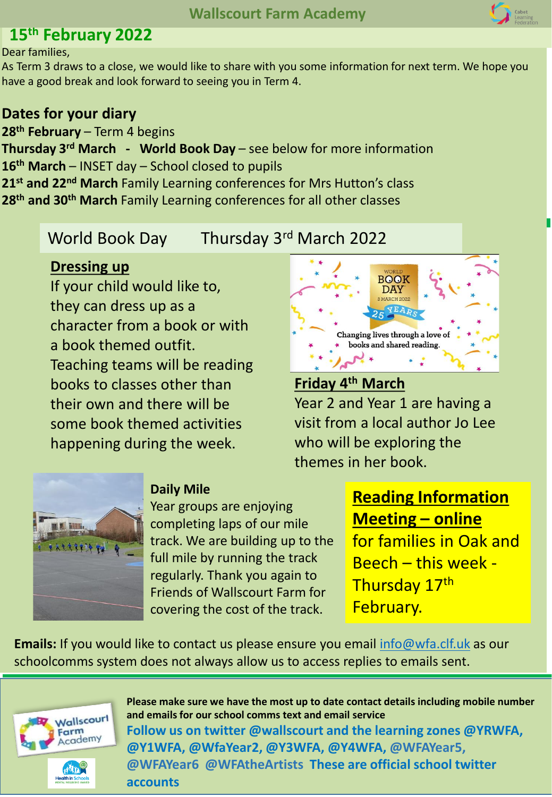# **15th February 2022**

Dear families,

As Term 3 draws to a close, we would like to share with you some information for next term. We hope you have a good break and look forward to seeing you in Term 4.

## **Dates for your diary**

**th February** – Term 4 begins **Thursday 3rd March - World Book Day** – see below for more information **th March** – INSET day – School closed to pupils **st and 22nd March** Family Learning conferences for Mrs Hutton's class **th and 30th March** Family Learning conferences for all other classes

# World Book Day Thursday 3rd March 2022

#### **Dressing up**

If your child would like to, they can dress up as a character from a book or with a book themed outfit. Teaching teams will be reading books to classes other than their own and there will be some book themed activities happening during the week.



## **Friday 4th March** Year 2 and Year 1 are having a visit from a local author Jo Lee who will be exploring the themes in her book.



#### **Daily Mile**

Year groups are enjoying completing laps of our mile track. We are building up to the full mile by running the track regularly. Thank you again to Friends of Wallscourt Farm for covering the cost of the track.

# **Reading Information Meeting – online**

for families in Oak and Beech – this week - Thursday 17th February.

**Emails:** If you would like to contact us please ensure you email [info@wfa.clf.uk](mailto:info@wfa.clf.uk) as our schoolcomms system does not always allow us to access replies to emails sent.



**Please make sure we have the most up to date contact details including mobile number and emails for our school comms text and email service Follow us on twitter @wallscourt and the learning zones @YRWFA, @Y1WFA, @WfaYear2, @Y3WFA, @Y4WFA, @WFAYear5, @WFAYear6 @WFAtheArtists These are official school twitter accounts**